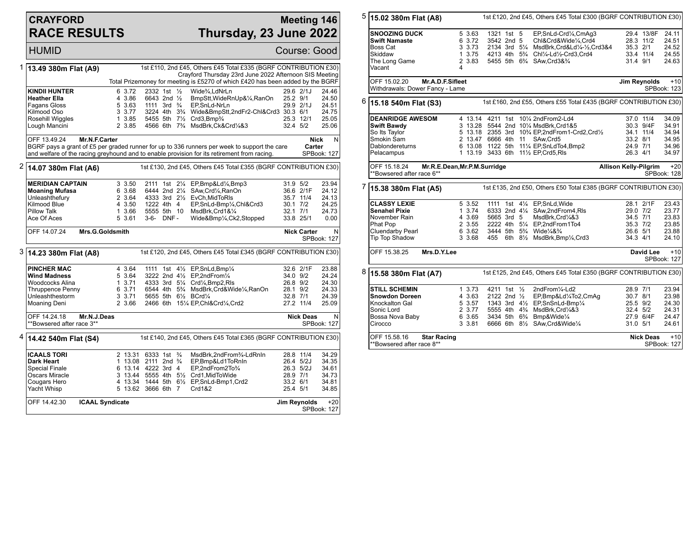## **CRAYFORD RACE RESULTS**

## **Meeting 146 Thursday, 23 June 2022**

HUMID Course: Good 1 **13.49 380m Flat (A9)** 1st £110, 2nd £45, Others £45 Total £335 (BGRF CONTRIBUTION £30) Crayford Thursday 23rd June 2022 Afternoon SIS Meeting Total Prizemoney for meeting is £5270 of which £420 has been added by the BGRF **KINDII HUNTER** 6 3.72 2332 1st ½ Wide¾,LdNrLn 29.6 2/1J 24.46<br>
Heather Ella 4 3.86 6643 2nd ½ BmpStt,WideRnUp&¼,RanOn 25.2 9/1 24.50 **Heather Ella** 4 3.86 6643 2nd ½ BmpStt,WideRnUp&¼,RanOn 25.2 9/1 24.50<br>Fagans Gloss 5 3.63 1111 3rd ¾ EP,SnLd-NrLn 29.9 2/1J 24.51 Fagans Gloss 5 3.63 1111 3rd ¾ EP,SnLd-NrLn 29.9 2/1J 24.51 Kilmood Oso 3 3.77 3224 4th 3¾ Wide&BmpStt,2ndFr2-Chl&Crd3 30.3 6/1 24.75 Rosehill Wiggles 1 3.85 5455 5th 7½ Crd3,Bmp¾ 25.3 12/1 25.05<br>1 25.3 12/1 25.05 4566 6th 7¾ MsdBrk,Ck&Crd¼&3 32.4 5/2 25.06 4566 6th 7<sup>3</sup>/<sub>4</sub> MsdBrk,Ck&Crd<sup>1</sup>/<sub>4</sub>&3 OFF 13.49.24 **Mr.N.F.Carter** BGRF pays a grant of £5 per graded runner for up to 336 runners per week to support the care and welfare of the racing greyhound and to enable provision for its retirement from racing. **Nick Carter** N SPBook: 127 2 **14.07 380m Flat (A6)** 1st £130, 2nd £45, Others £45 Total £355 (BGRF CONTRIBUTION £30) **MERIDIAN CAPTAIN** 3 3.50 2111 1st 2<sup>1</sup>/<sub>4</sub> EP,Bmp&Ld<sup>1</sup>/<sub>4</sub>,Bmp3 31.9 5/2 23.94<br>**Moaning Mufasa** 6 3.68 6444 2nd 2<sup>1</sup>/<sub>4</sub> SAw,Crd<sup>1</sup>/<sub>4</sub>,RanOn 36.6 2/1F 24.12 **Moaning Mufasa** 6 3.68 6444 2nd 2¼ SAw,Crd¼,RanOn 36.6 2/1F 24.12<br>
Unleashthefury 3 3.64 4333 3rd 2½ EvCh.MidToRIs 35.7 11/4 24.13 Unleashthefury 2 3.64 4333 3rd 2<sup>1</sup>/<sub>2</sub> EvCh, MidToRls 35.7 11/4 <br>Kilmood Blue 3.50 1222 4th 4 EP, SnLd-Bmp<sup>1</sup>/4, Chl&Crd3 30.1 7/2 Kilmood Blue 4 3.50 1222 4th 4 EP, SnLd-Bmp1⁄4, Chl&Crd3 30.1 7/2 24.25<br>Pillow Talk 4 3.66 5555 5th 10 MsdBrk, Crd1&1/4 32.1 7/1 24.73 Pillow Talk 1 3.66 5555 5th 10 MsdBrk,Crd1&¼ 32.1 7/1 24.73<br>4 33.8 25/1 5 3.61 3-6- DNF - Wide&Bmp¼,Ck2,Stopped 33.8 25/1 Wide&Bmp¼,Ck2,Stopped OFF 14.07.24 **Mrs.G.Goldsmith Nick Carter** N SPBook: 127 3 **14.23 380m Flat (A8)** 1st £120, 2nd £45, Others £45 Total £345 (BGRF CONTRIBUTION £30) **PINCHER MAC** 4 3.64 1111 1st 4<sup>1</sup>/<sub>2</sub> EP,SnLd,Bmp<sup>1</sup>/<sub>4</sub> 32.6 2/1F 23.88<br> **Wind Madness** 5 3.64 3222 2nd 4<sup>1</sup>/<sub>2</sub> EP,2ndFrom<sup>1</sup>/<sub>4</sub> 34.0 9/2 24.24 **Wind Madness** 5 3.64 3222 2nd 4<sup>1</sup>/<sub>2</sub> EP,2ndFrom<sup>1</sup>/<sub>4</sub> 34.0 9/2 24.24<br>Woodcocks Alina 1 3.71 4333 3rd 5<sup>1</sup>/<sub>4</sub> Crd<sup>1</sup>/<sub>4</sub>,Bmp2,Rls 26.8 9/2 24.30 Woodcocks Alina 1 3.71 4333 3rd 5¼ Crd¼,Bmp2,Rls 26.8 9/2 24.30<br>1 Thruppence Penny 6 3.71 6544 4th 5¼ MsdBrk,Crd&Wide¼,RanOn 28.1 9/2 24.33 Thruppence Penny 6 3.71 6544 4th 5<sup>3</sup>/<sub>4</sub> MsdBrk,Crd&Wide<sup>1</sup>/<sub>4</sub>,RanOn 28.1 9/2 24.33<br>Unleashthestorm 3 3.71 5655 5th 6<sup>1</sup>/<sub>2</sub> BCrd<sup>1</sup>/<sub>4</sub> 32.8 7/1 24.39 Unleashthestorm 3 3 3.71 5655 5th 6½ BCrd¼ 32.8 7/1 24.39<br>Moaning Deni 2 3.66 2466 6th 15¼ EP,Chl&Crd¼ Crd2 27.2 11/4 25.09 2466 6th 151/4 EP,Chl&Crd1/4,Crd2 OFF 14.24.18 **Mr.N.J.Deas** \*\*Bowsered after race 3\*\* **Nick Deas** N SPBook: 127 4 **14.42 540m Flat (S4)** 1st £140, 2nd £45, Others £45 Total £365 (BGRF CONTRIBUTION £30) **ICAALS TORI** 2 13.31 6333 1st ¾ MsdBrk,2ndFrom¾-LdRnIn 28.8 11/4 34.29 **Dark Heart** 1 13.08 2111 2nd ¾ EP,Bmp&Ld1ToRnIn 26.4 5/2J 34.35<br>Special Finale 1 13.14 4222 3rd 4 EP.2ndFrom2To¾ 26.3 5/2J 34.61 Special Finale 6 13.14 4222 3rd 4 EP,2ndFrom2To¾ 26.3 5/2J 34.61 Oscars Miracle 3 13.44 5555 4th 5½ Crd1,MidToWide 28.9 7/1 34.73 Cougars Hero 4 13.34 1444 5th 6½ EP,SnLd-Bmp1,Crd2 33.2 6/1 34.81 5 13.62 3666 6th 7 Crd1&2 OFF 14.42.30 **ICAAL Syndicate Jim Reynolds** +20 SPBook: 127

| 5                                                                                             | 15.02 380m Flat (A8)                                                                                                  | 1st £120, 2nd £45, Others £45 Total £300 (BGRF CONTRIBUTION £30) |                                                               |                                        |                      |  |                                                                                                                                                                                                                                                                                            |                                                          |                                     |                                                    |
|-----------------------------------------------------------------------------------------------|-----------------------------------------------------------------------------------------------------------------------|------------------------------------------------------------------|---------------------------------------------------------------|----------------------------------------|----------------------|--|--------------------------------------------------------------------------------------------------------------------------------------------------------------------------------------------------------------------------------------------------------------------------------------------|----------------------------------------------------------|-------------------------------------|----------------------------------------------------|
|                                                                                               | <b>SNOOZING DUCK</b><br><b>Swift Namaste</b><br>Boss Cat<br>Skiddaw<br>The Long Game<br>Vacant                        | 4                                                                | 5 3.63<br>6 3.72<br>3 3.73<br>1 3.75<br>2 3.83                | 1321 1st 5<br>3542 2nd 5               |                      |  | EP,SnLd-Crd1/4,CmAg3<br>Chl&Crd&Wide1/4,Crd4<br>2134 3rd 51/4 MsdBrk, Crd&Ld1/4-1/2, Crd3&4<br>4213 4th 5 <sup>3</sup> / <sub>4</sub> Chl <sup>1</sup> / <sub>4</sub> -Ld <sup>1</sup> / <sub>2</sub> -Crd3, Crd4<br>5455 5th 6 <sup>3</sup> / <sub>4</sub> SAw, Crd3&3/ <sub>4</sub>      | 28.3 11/2<br>35.3 2/1<br>31.4 9/1                        | 29.4 13/8F<br>33.4 11/4             | 24.11<br>24.51<br>24.52<br>24.55<br>24.63          |
|                                                                                               | OFF 15.02.20<br>Mr.A.D.F.Sifleet<br>Withdrawals: Dower Fancy - Lame                                                   |                                                                  |                                                               |                                        |                      |  |                                                                                                                                                                                                                                                                                            |                                                          | Jim Reynolds                        | $+10$<br>SPBook: 123                               |
| 6<br>1st £160, 2nd £55, Others £55 Total £435 (BGRF CONTRIBUTION £30)<br>15.18 540m Flat (S3) |                                                                                                                       |                                                                  |                                                               |                                        |                      |  |                                                                                                                                                                                                                                                                                            |                                                          |                                     |                                                    |
|                                                                                               | <b>DEANRIDGE AWESOM</b><br><b>Swift Bawdy</b><br>So Its Taylor<br>Smokin Sam<br>Dablondereturns<br>Pelacampus         |                                                                  |                                                               |                                        |                      |  | 4 13.14 4211 1st 101/4 2nd From 2-Ld4<br>3 13.28 5544 2nd 101/4 MsdBrk, Crd1&5<br>5 13.18 2355 3rd 103/4 EP,2ndFrom1-Crd2,Crd1/2<br>2 13.47 6666 4th 11 SAw, Crd5<br>6 13.08 1122 5th 111/4 EP, SnLdTo4, Bmp2<br>1 13.19 3433 6th 111/2 EP, Crd5, RIs                                      | 33.2 8/1<br>24.9 7/1<br>26.3 4/1                         | 37.0 11/4<br>30.3 9/4F<br>34.1 11/4 | 34.09<br>34.91<br>34.94<br>34.95<br>34.96<br>34.97 |
|                                                                                               | OFF 15.18.24<br>Mr.R.E.Dean, Mr.P.M.Surridge<br>**Bowsered after race 6**                                             |                                                                  | <b>Allison Kelly-Pilgrim</b>                                  |                                        | $+20$<br>SPBook: 128 |  |                                                                                                                                                                                                                                                                                            |                                                          |                                     |                                                    |
| 7                                                                                             | <b>15.38 380m Flat (A5)</b>                                                                                           |                                                                  |                                                               |                                        |                      |  | 1st £135, 2nd £50, Others £50 Total £385 (BGRF CONTRIBUTION £30)                                                                                                                                                                                                                           |                                                          |                                     |                                                    |
|                                                                                               | <b>CLASSY LEXIE</b><br><b>Senahel Pixie</b><br>November Rain<br>Phat Pop<br><b>Cluendarby Pearl</b><br>Tip Top Shadow |                                                                  | 5 3.52<br>$1 \, 3.74$<br>4 3.69<br>2 3.55<br>6 3.62<br>3 3.68 | 5665 3rd 5                             |                      |  | 1111 1st 41/4 EP.SnLd. Wide<br>6333 2nd 41/4 SAw, 2nd From 4, RIs<br>MsdBrk, Crd1/4&3<br>2222 4th 51/4 EP.2ndFrom1To4<br>3444 5th 5 <sup>3</sup> / <sub>4</sub> Wide <sup>1</sup> / <sub>4</sub> & <sup>3</sup> / <sub>4</sub><br>455 6th 81/ <sub>2</sub> MsdBrk,Bmp1/ <sub>4</sub> ,Crd3 | 29.0 7/2<br>34.5 7/1<br>35.3 7/2<br>26.6 5/1<br>34.3 4/1 | 28.1 2/1F                           | 23.43<br>23.77<br>23.83<br>23.85<br>23.88<br>24.10 |
|                                                                                               | OFF 15.38.25<br>Mrs.D.Y.Lee                                                                                           |                                                                  |                                                               |                                        |                      |  |                                                                                                                                                                                                                                                                                            |                                                          | <b>David Lee</b>                    | $+10$<br>SPBook: 127                               |
| 8                                                                                             | 15.58 380m Flat (A7)                                                                                                  |                                                                  |                                                               |                                        |                      |  | 1st £125, 2nd £45, Others £45 Total £350 (BGRF CONTRIBUTION £30)                                                                                                                                                                                                                           |                                                          |                                     |                                                    |
|                                                                                               | <b>STILL SCHEMIN</b><br><b>Snowdon Doreen</b><br>Knockalton Gal<br>Sonic Lord<br>Bossa Nova Baby<br>Cirocco           |                                                                  | 1 3.73<br>4 3.63<br>5 3.57<br>2 3.77<br>6 3.65<br>3 3.81      | 4211 1st 1/2<br>2122 2nd $\frac{1}{2}$ |                      |  | 2ndFrom1/4-Ld2<br>EP,Bmp&Ld1/4To2,CmAg<br>1343 3rd 41/2 EP, Sn Sn Ld-Bmp1/4<br>5555 4th 43/4 MsdBrk, Crd1/4&3<br>3434 5th 6 <sup>3</sup> / <sub>4</sub> Bmp&Wide <sup>1</sup> / <sub>4</sub><br>6666 6th 81/2 SAw, Crd& Wide1/4                                                            | 28.9 7/1<br>30.7 8/1<br>25.5 9/2<br>32.4 5/2<br>31.0 5/1 | 27.9 6/4F                           | 23.94<br>23.98<br>24.30<br>24.31<br>24.47<br>24.61 |
|                                                                                               | OFF 15.58.16<br><b>Star Racing</b><br>**Bowsered after race 8**                                                       |                                                                  |                                                               |                                        |                      |  |                                                                                                                                                                                                                                                                                            |                                                          | <b>Nick Deas</b>                    | $+10$<br>SPBook: 127                               |